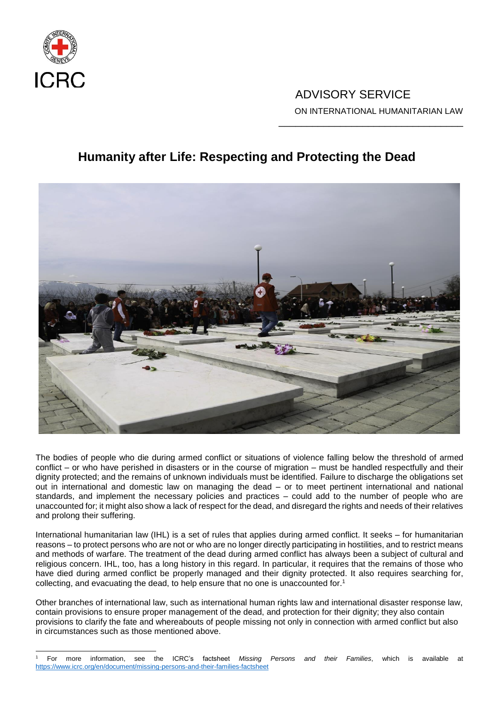

## ADVISORY SERVICE ON INTERNATIONAL HUMANITARIAN LAW

\_\_\_\_\_\_\_\_\_\_\_\_\_\_\_\_\_\_\_\_\_\_\_\_\_\_\_\_\_\_\_\_\_

# **Humanity after Life: Respecting and Protecting the Dead**



The bodies of people who die during armed conflict or situations of violence falling below the threshold of armed conflict – or who have perished in disasters or in the course of migration – must be handled respectfully and their dignity protected; and the remains of unknown individuals must be identified. Failure to discharge the obligations set out in international and domestic law on managing the dead – or to meet pertinent international and national standards, and implement the necessary policies and practices – could add to the number of people who are unaccounted for; it might also show a lack of respect for the dead, and disregard the rights and needs of their relatives and prolong their suffering.

International humanitarian law (IHL) is a set of rules that applies during armed conflict. It seeks – for humanitarian reasons – to protect persons who are not or who are no longer directly participating in hostilities, and to restrict means and methods of warfare. The treatment of the dead during armed conflict has always been a subject of cultural and religious concern. IHL, too, has a long history in this regard. In particular, it requires that the remains of those who have died during armed conflict be properly managed and their dignity protected. It also requires searching for, collecting, and evacuating the dead, to help ensure that no one is unaccounted for. 1

Other branches of international law, such as international human rights law and international disaster response law, contain provisions to ensure proper management of the dead, and protection for their dignity; they also contain provisions to clarify the fate and whereabouts of people missing not only in connection with armed conflict but also in circumstances such as those mentioned above.

l <sup>1</sup> For more information, see the ICRC's factsheet *Missing Persons and their Families*, which is available at <https://www.icrc.org/en/document/missing-persons-and-their-families-factsheet>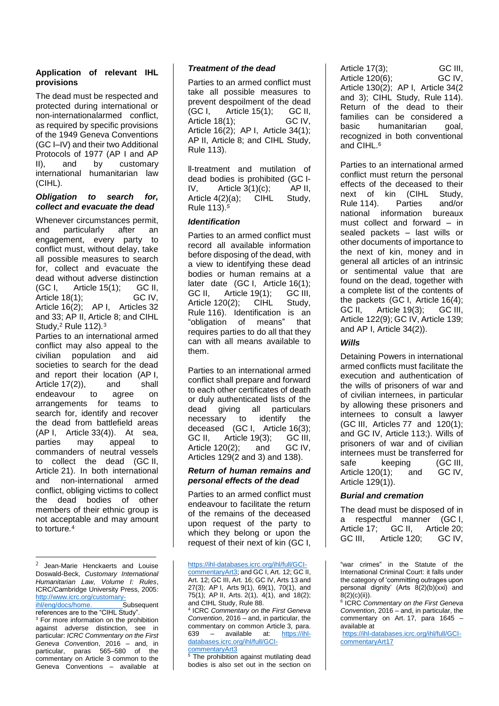## **Application of relevant IHL provisions**

The dead must be respected and protected during international or non-internationalarmed conflict, as required by specific provisions of the 1949 Geneva Conventions (GC I–IV) and their two Additional Protocols of 1977 (AP I and AP<br>II), and by customary II), and by customary international humanitarian law (CIHL).

#### *Obligation to search for, collect and evacuate the dead*

Whenever circumstances permit, and particularly after an engagement, every party to conflict must, without delay, take all possible measures to search for, collect and evacuate the dead without adverse distinction (GC I, Article 15(1); GC II, Article  $18(1)$ ; Article 16(2); AP I, Articles 32 and 33; AP II, Article 8; and CIHL Study, <sup>2</sup> Rule 112)*.* 3

Parties to an international armed conflict may also appeal to the civilian population and aid societies to search for the dead and report their location (AP I, Article 17(2)), and shall endeavour to agree on arrangements for teams to search for, identify and recover the dead from battlefield areas (AP I, Article 33(4)). At sea, parties may appeal to commanders of neutral vessels to collect the dead (GC II, Article 21). In both international and non-international armed conflict, obliging victims to collect the dead bodies of other members of their ethnic group is not acceptable and may amount to torture*.* 4

l

<sup>3</sup> For more information on the prohibition against adverse distinction, see in particular: *ICRC Commentary on the First Geneva Convention*, 2016 – and, in particular, paras 565–580 of the commentary on Article 3 common to the Geneva Conventions – available at

## *Treatment of the dead*

Parties to an armed conflict must take all possible measures to prevent despoilment of the dead<br>(GC I. Article 15(1): GC II. (GC I, Article 15(1); GC II, Article  $18(1)$ ; Article 16(2); AP I, Article 34(1); AP II, Article 8; and CIHL Study, Rule 113).

ll-treatment and mutilation of dead bodies is prohibited (GC I-<br>IV. Article 3(1)(c): AP II. IV, Article  $3(1)(c)$ ; Article 4(2)(a); CIHL Study, Rule 113).*<sup>5</sup>*

## *Identification*

Parties to an armed conflict must record all available information before disposing of the dead, with a view to identifying these dead bodies or human remains at a later date (GC I, Article 16(1); GC II, Article 19(1); GC III, Article 120(2); CIHL Study, Rule 116). Identification is an "obligation of means" that requires parties to do all that they can with all means available to them.

Parties to an international armed conflict shall prepare and forward to each other certificates of death or duly authenticated lists of the dead giving all particulars necessary to identify the deceased (GC I, Article 16(3); GC II. Article 19(3): GC III. Article 120(2); and GC IV, Articles 129(2 and 3) and 138).

#### *Return of human remains and personal effects of the dead*

Parties to an armed conflict must endeavour to facilitate the return of the remains of the deceased upon request of the party to which they belong or upon the request of their next of kin (GC I,

The prohibition against mutilating dead bodies is also set out in the section on

Article 17(3); GC III, Article  $120(6)$ ; Article 130(2); AP I, Article 34(2 and 3); CIHL Study, Rule 114). Return of the dead to their families can be considered a basic humanitarian goal, recognized in both conventional and CIHL. 6

Parties to an international armed conflict must return the personal effects of the deceased to their next of kin (CIHL Study,<br>Rule 114). Parties and/or Rule 114). national information bureaux must collect and forward – in sealed packets – last wills or other documents of importance to the next of kin, money and in general all articles of an intrinsic or sentimental value that are found on the dead, together with a complete list of the contents of the packets (GC I, Article 16(4); GC II, Article 19(3); GC III, Article 122(9); GC IV, Article 139; and AP I, Article 34(2)).

## *Wills*

Detaining Powers in international armed conflicts must facilitate the execution and authentication of the wills of prisoners of war and of civilian internees, in particular by allowing these prisoners and internees to consult a lawyer (GC III, Articles 77 and 120(1); and GC IV, Article 113;). Wills of prisoners of war and of civilian internees must be transferred for safe keeping (GC III, Article 120(1); and GC IV, Article 129(1)).

## *Burial and cremation*

The dead must be disposed of in a respectful manner (GC I, Article 17: GC II. Article 20: GC III. Article 120: GC IV.

6 ICRC *Commentary on the First Geneva Convention*, 2016 – and, in particular, the commentary on Art. 17, para 1645 – available at

[https://ihl-databases.icrc.org/ihl/full/GCI](https://ihl-databases.icrc.org/ihl/full/GCI-commentaryArt17)[commentaryArt17](https://ihl-databases.icrc.org/ihl/full/GCI-commentaryArt17)

<sup>2</sup> Jean-Marie Henckaerts and Louise Doswald-Beck, *Customary International Humanitarian Law, Volume I: Rules*, ICRC/Cambridge University Press, 2005: http://www.icrc.org/customary-<br>ihl/eng/docs/home.\_\_\_\_\_\_\_\_\_\_\_Subsequent

ihl/eng/docs/home. references are to the "CIHL Study".

[https://ihl-databases.icrc.org/ihl/full/GCI-](https://ihl-databases.icrc.org/ihl/full/GCI-commentaryArt3)

[commentaryArt3;](https://ihl-databases.icrc.org/ihl/full/GCI-commentaryArt3) and GC I, Art. 12; GC II, Art. 12; GC III, Art. 16; GC IV, Arts 13 and 27(3); AP I, Arts 9(1), 69(1), 70(1), and 75(1); AP II, Arts. 2(1), 4(1), and 18(2); and CIHL Study, Rule 88.

<sup>4</sup> ICRC *Commentary on the First Geneva Convention*, 2016 – and, in particular, the commentary on common Article 3, para. 639 – available at: [https://ihl](https://ihl-databases.icrc.org/ihl/full/GCI-commentaryArt3)[databases.icrc.org/ihl/full/GCI-](https://ihl-databases.icrc.org/ihl/full/GCI-commentaryArt3)

[commentaryArt3](https://ihl-databases.icrc.org/ihl/full/GCI-commentaryArt3)

<sup>&</sup>quot;war crimes" in the Statute of the International Criminal Court: it falls under the category of 'committing outrages upon personal dignity' (Arts 8(2)(b)(xxi) and 8(2)(c)(ii)).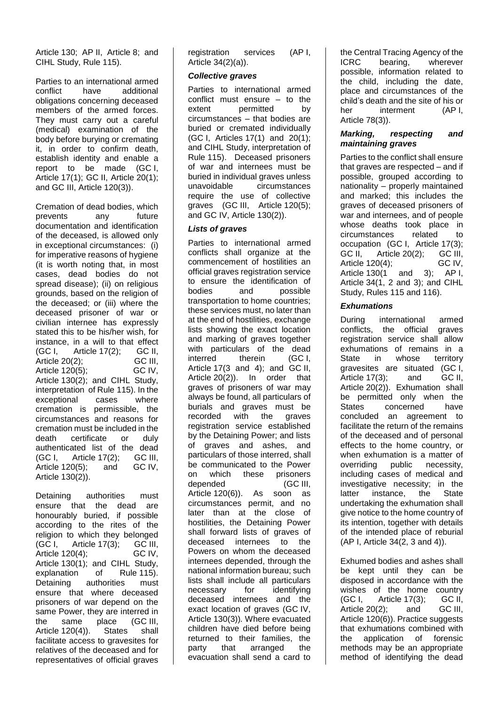Article 130; AP II, Article 8; and CIHL Study, Rule 115).

Parties to an international armed conflict have additional obligations concerning deceased members of the armed forces. They must carry out a careful (medical) examination of the body before burying or cremating it, in order to confirm death, establish identity and enable a report to be made (GC I, Article 17(1); GC II, Article 20(1); and GC III, Article 120(3)).

Cremation of dead bodies, which prevents any future documentation and identification of the deceased, is allowed only in exceptional circumstances: (i) for imperative reasons of hygiene (it is worth noting that, in most cases, dead bodies do not spread disease); (ii) on religious grounds, based on the religion of the deceased; or (iii) where the deceased prisoner of war or civilian internee has expressly stated this to be his/her wish, for instance, in a will to that effect  $(GC I,$  Article 17 $(2)$ ; GC II, Article 20(2); GC III,<br>Article 120(5); GC IV, Article  $120(5)$ ; Article 130(2); and CIHL Study, interpretation of Rule 115). In the exceptional cases where cremation is permissible, the circumstances and reasons for cremation must be included in the death certificate or duly authenticated list of the dead (GC I, Article 17(2); GC III, Article 120(5); and GC IV, Article 130(2)).

Detaining authorities must ensure that the dead are honourably buried, if possible according to the rites of the religion to which they belonged (GC I, Article 17(3); GC III, Article  $120(4)$ ; Article 130(1); and CIHL Study, explanation of Rule 115). Detaining authorities must ensure that where deceased prisoners of war depend on the same Power, they are interred in the same place (GC III, Article 120(4)). States shall facilitate access to gravesites for relatives of the deceased and for representatives of official graves

registration services (AP I, Article 34(2)(a)).

### *Collective graves*

Parties to international armed conflict must ensure – to the<br>extent permitted by permitted circumstances – that bodies are buried or cremated individually (GC I, Articles 17(1) and 20(1); and CIHL Study, interpretation of Rule 115). Deceased prisoners of war and internees must be buried in individual graves unless unavoidable circumstances require the use of collective graves (GC III, Article 120(5); and GC IV, Article 130(2)).

## *Lists of graves*

Parties to international armed conflicts shall organize at the commencement of hostilities an official graves registration service to ensure the identification of bodies and possible transportation to home countries; these services must, no later than at the end of hostilities, exchange lists showing the exact location and marking of graves together with particulars of the dead interred therein (GC I, Article 17(3 and 4); and GC II, Article 20(2)). In order that graves of prisoners of war may always be found, all particulars of burials and graves must be recorded with the graves registration service established by the Detaining Power; and lists of graves and ashes, and particulars of those interred, shall be communicated to the Power on which these prisoners depended (GC III, Article 120(6)). As soon as circumstances permit, and no later than at the close of hostilities, the Detaining Power shall forward lists of graves of deceased internees to the Powers on whom the deceased internees depended, through the national information bureau; such lists shall include all particulars necessary for identifying deceased internees and the exact location of graves (GC IV, Article 130(3))*.* Where evacuated children have died before being returned to their families, the party that arranged the evacuation shall send a card to

the Central Tracing Agency of the<br>ICRC bearing wherever bearing, possible, information related to the child, including the date, place and circumstances of the child's death and the site of his or her interment (AP I, Article 78(3)).

### *Marking, respecting and maintaining graves*

Parties to the conflict shall ensure that graves are respected – and if possible, grouped according to nationality – properly maintained and marked; this includes the graves of deceased prisoners of war and internees, and of people whose deaths took place in circumstances related to occupation (GC I, Article 17(3); GC II, Article 20(2); GC III, Article 120(4): GC IV, Article 130(1 and 3); AP I, Article 34(1, 2 and 3); and CIHL Study, Rules 115 and 116).

## *Exhumations*

During international armed conflicts, the official graves registration service shall allow exhumations of remains in a State in whose territory gravesites are situated (GC I, Article 17(3); and GC II, Article 20(2)). Exhumation shall be permitted only when the States concerned have concluded an agreement to facilitate the return of the remains of the deceased and of personal effects to the home country, or when exhumation is a matter of overriding public necessity, including cases of medical and investigative necessity; in the latter instance, the State undertaking the exhumation shall give notice to the home country of its intention, together with details of the intended place of reburial (AP I, Article 34(2, 3 and 4)).

Exhumed bodies and ashes shall be kept until they can be disposed in accordance with the wishes of the home country (GC I, Article 17(3); GC II, Article 20(2); and GC III, Article 120(6)). Practice suggests that exhumations combined with the application of forensic methods may be an appropriate method of identifying the dead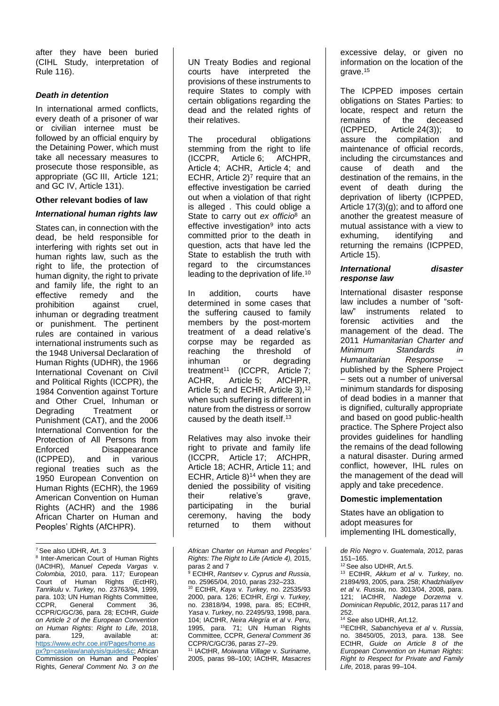after they have been buried (CIHL Study, interpretation of Rule 116).

#### *Death in detention*

In international armed conflicts, every death of a prisoner of war or civilian internee must be followed by an official enquiry by the Detaining Power, which must take all necessary measures to prosecute those responsible, as appropriate (GC III, Article 121; and GC IV, Article 131).

#### **Other relevant bodies of law**

#### *International human rights law*

States can, in connection with the dead, be held responsible for interfering with rights set out in human rights law, such as the right to life, the protection of human dignity, the right to private and family life, the right to an effective remedy and the prohibition against cruel, inhuman or degrading treatment or punishment. The pertinent rules are contained in various international instruments such as the 1948 Universal Declaration of Human Rights (UDHR), the 1966 International Covenant on Civil and Political Rights (ICCPR), the 1984 Convention against Torture and Other Cruel, Inhuman or Degrading Treatment or Punishment (CAT), and the 2006 International Convention for the Protection of All Persons from Enforced Disappearance (ICPPED), and in various regional treaties such as the 1950 European Convention on Human Rights (ECHR), the 1969 American Convention on Human Rights (ACHR) and the 1986 African Charter on Human and Peoples' Rights (AfCHPR).

-<sup>7</sup> See also UDHR, Art. 3

<sup>8</sup> Inter-American Court of Human Rights (IACtHR), *Manuel Cepeda Vargas* v. *Colombia*, 2010, para. 117*;* European Court of Human Rights (EctHR), *Tanrikulu* v. *Turkey,* no. 23763/94, 1999, para. 103; UN Human Rights Committee*,*  CCPR, General Comment 36*,*  CCPR/C/GC/36, para*.* 28*;* ECtHR, *Guide on Article 2 of the European Convention on Human Rights*: *Right to Life*, 2018, para. 129, available at: [https://www.echr.coe.int/Pages/home.as](https://www.echr.coe.int/Pages/home.aspx?p=caselaw/analysis/guides&c) [px?p=caselaw/analysis/guides&c;](https://www.echr.coe.int/Pages/home.aspx?p=caselaw/analysis/guides&c) African Commission on Human and Peoples' Rights, *General Comment No. 3 on the* 

UN Treaty Bodies and regional courts have interpreted the provisions of these instruments to require States to comply with certain obligations regarding the dead and the related rights of their relatives.

The procedural obligations stemming from the right to life (ICCPR, Article 6; AfCHPR, Article 4; ACHR, Article 4; and ECHR, Article  $2<sup>7</sup>$  require that an effective investigation be carried out when a violation of that right is alleged . This could oblige a State to carry out *ex officio*<sup>8</sup> an effective investigation<sup>9</sup> into acts committed prior to the death in question, acts that have led the State to establish the truth with regard to the circumstances leading to the deprivation of life.<sup>10</sup>

In addition, courts have determined in some cases that the suffering caused to family members by the post-mortem treatment of a dead relative's corpse may be regarded as reaching the threshold of inhuman or degrading treatment<sup>11</sup> (ICCPR, Article 7; ACHR, Article 5; AfCHPR, Article 5; and ECHR, Article 3), 12 when such suffering is different in nature from the distress or sorrow caused by the death itself.<sup>13</sup>

Relatives may also invoke their right to private and family life (ICCPR, Article 17; AfCHPR, Article 18; ACHR, Article 11; and ECHR, Article  $8$ <sup>14</sup> when they are denied the possibility of visiting their relative's grave, participating in the burial ceremony, having the body returned to them without

<sup>11</sup> IACtHR, *Moiwana Village* v*. Suriname*, 2005, paras 98–100; IACtHR, *Masacres*  excessive delay, or given no information on the location of the arave. $15$ 

The ICPPED imposes certain obligations on States Parties: to locate, respect and return the remains of the deceased (ICPPED, Article 24(3)); to assure the compilation and maintenance of official records, including the circumstances and cause of death and the destination of the remains, in the event of death during the deprivation of liberty (ICPPED, Article 17(3)(g); and to afford one another the greatest measure of mutual assistance with a view to exhuming, identifying and returning the remains (ICPPED, Article 15).

## *International disaster response law*

International disaster response law includes a number of "soft-<br>law" instruments related to instruments related to forensic activities and the management of the dead. The 2011 *Humanitarian Charter and Minimum Standards in Humanitarian Response* – published by the Sphere Project – sets out a number of universal minimum standards for disposing of dead bodies in a manner that is dignified, culturally appropriate and based on good public-health practice. The Sphere Project also provides guidelines for handling the remains of the dead following a natural disaster. During armed conflict, however, IHL rules on the management of the dead will apply and take precedence.

#### **Domestic implementation**

States have an obligation to adopt measures for implementing IHL domestically,

*de Río Negro* v. *Guatemala*, 2012, paras 151–165.

<sup>12</sup> See also UDHR, Art.5.

<sup>13</sup> ECtHR, *Akkum et al* v*. Turkey*, no. 21894/93, 2005, para. 258; *Khadzhialiyev et al* v*. Russia*, no. 3013/04, 2008, para. 121; IACtHR, *Nadege Dorzema* v*. Dominican Republic*, 2012, paras 117 and 252.

<sup>15</sup>ECtHR, *Sabanchiyeva et al* v*. Russia*, no. 38450/05, 2013, para. 138. See ECtHR, *Guide on Article 8 of the European Convention on Human Rights*: *Right to Respect for Private and Family Life,* 2018, paras 99–104.

*African Charter on Human and Peoples' Rights: The Right to Life (Article 4),* 2015, paras 2 and 7

<sup>9</sup> ECtHR, *Rantsev v. Cyprus and Russia*, no. 25965/04, 2010, paras 232–233. <sup>10</sup> ECtHR, *Kaya* v*. Turkey,* no. 22535/93 2000, para. 126; ECtHR, *Ergi* v*. Turkey,*  no. 23818/94, 1998, para. 85; ECtHR, *Yasa* v*. Turkey*, no. 22495/93, 1998, para. 104; IACtHR, *Neira Alegría et al* v. *Peru,*  1995, para. 71; UN Human Rights Committee*,* CCPR, *General Comment 36*  CCPR/C/GC/36, paras 27–29.

<sup>14</sup> See also UDHR, Art.12.